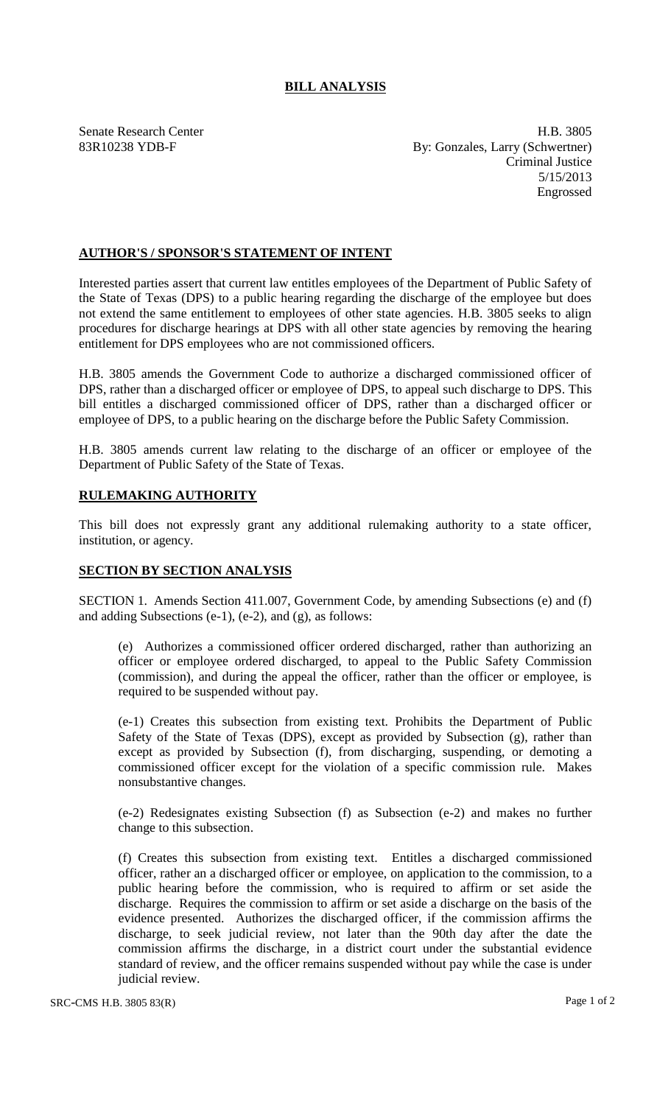## **BILL ANALYSIS**

Senate Research Center **H.B.** 3805 83R10238 YDB-F By: Gonzales, Larry (Schwertner) Criminal Justice 5/15/2013 Engrossed

## **AUTHOR'S / SPONSOR'S STATEMENT OF INTENT**

Interested parties assert that current law entitles employees of the Department of Public Safety of the State of Texas (DPS) to a public hearing regarding the discharge of the employee but does not extend the same entitlement to employees of other state agencies. H.B. 3805 seeks to align procedures for discharge hearings at DPS with all other state agencies by removing the hearing entitlement for DPS employees who are not commissioned officers.

H.B. 3805 amends the Government Code to authorize a discharged commissioned officer of DPS, rather than a discharged officer or employee of DPS, to appeal such discharge to DPS. This bill entitles a discharged commissioned officer of DPS, rather than a discharged officer or employee of DPS, to a public hearing on the discharge before the Public Safety Commission.

H.B. 3805 amends current law relating to the discharge of an officer or employee of the Department of Public Safety of the State of Texas.

## **RULEMAKING AUTHORITY**

This bill does not expressly grant any additional rulemaking authority to a state officer, institution, or agency.

## **SECTION BY SECTION ANALYSIS**

SECTION 1. Amends Section 411.007, Government Code, by amending Subsections (e) and (f) and adding Subsections (e-1), (e-2), and (g), as follows:

(e) Authorizes a commissioned officer ordered discharged, rather than authorizing an officer or employee ordered discharged, to appeal to the Public Safety Commission (commission), and during the appeal the officer, rather than the officer or employee, is required to be suspended without pay.

(e-1) Creates this subsection from existing text. Prohibits the Department of Public Safety of the State of Texas (DPS), except as provided by Subsection (g), rather than except as provided by Subsection (f), from discharging, suspending, or demoting a commissioned officer except for the violation of a specific commission rule. Makes nonsubstantive changes.

(e-2) Redesignates existing Subsection (f) as Subsection (e-2) and makes no further change to this subsection.

(f) Creates this subsection from existing text. Entitles a discharged commissioned officer, rather an a discharged officer or employee, on application to the commission, to a public hearing before the commission, who is required to affirm or set aside the discharge. Requires the commission to affirm or set aside a discharge on the basis of the evidence presented. Authorizes the discharged officer, if the commission affirms the discharge, to seek judicial review, not later than the 90th day after the date the commission affirms the discharge, in a district court under the substantial evidence standard of review, and the officer remains suspended without pay while the case is under judicial review.